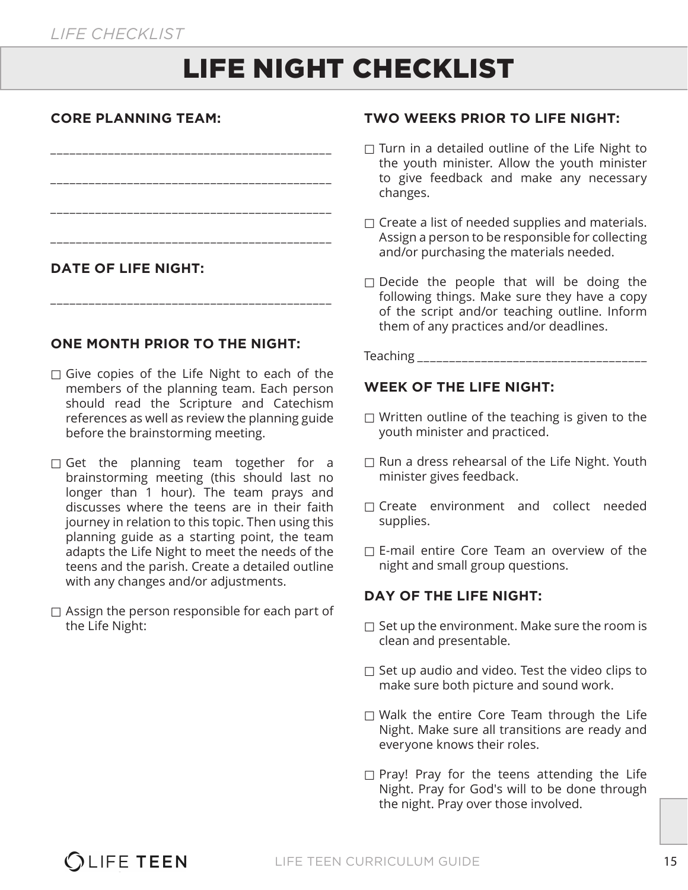# LIFE NIGHT CHECKLIST

#### **CORE PLANNING TEAM:**

| <b>DATE OF LIFE NIGHT:</b> |  |
|----------------------------|--|

\_\_\_\_\_\_\_\_\_\_\_\_\_\_\_\_\_\_\_\_\_\_\_\_\_\_\_\_\_\_\_\_\_\_\_\_\_\_\_\_\_\_\_\_

#### **ONE MONTH PRIOR TO THE NIGHT:**

- $\Box$  Give copies of the Life Night to each of the members of the planning team. Each person should read the Scripture and Catechism references as well as review the planning guide before the brainstorming meeting.
- $\Box$  Get the planning team together for a brainstorming meeting (this should last no longer than 1 hour). The team prays and discusses where the teens are in their faith journey in relation to this topic. Then using this planning guide as a starting point, the team adapts the Life Night to meet the needs of the teens and the parish. Create a detailed outline with any changes and/or adjustments.
- $\Box$  Assign the person responsible for each part of the Life Night:

#### **TWO WEEKS PRIOR TO LIFE NIGHT:**

- $\Box$  Turn in a detailed outline of the Life Night to the youth minister. Allow the youth minister to give feedback and make any necessary changes.
- $\Box$  Create a list of needed supplies and materials. Assign a person to be responsible for collecting and/or purchasing the materials needed.
- $\square$  Decide the people that will be doing the following things. Make sure they have a copy of the script and/or teaching outline. Inform them of any practices and/or deadlines.



#### **WEEK OF THE LIFE NIGHT:**

- $\Box$  Written outline of the teaching is given to the youth minister and practiced.
- $\Box$  Run a dress rehearsal of the Life Night. Youth minister gives feedback.
- □ Create environment and collect needed supplies.
- $\Box$  E-mail entire Core Team an overview of the night and small group questions.

#### **DAY OF THE LIFE NIGHT:**

- $\Box$  Set up the environment. Make sure the room is clean and presentable.
- $\Box$  Set up audio and video. Test the video clips to make sure both picture and sound work.
- $\Box$  Walk the entire Core Team through the Life Night. Make sure all transitions are ready and everyone knows their roles.
- $\Box$  Pray! Pray for the teens attending the Life Night. Pray for God's will to be done through the night. Pray over those involved.

### **OLIFE TEEN**